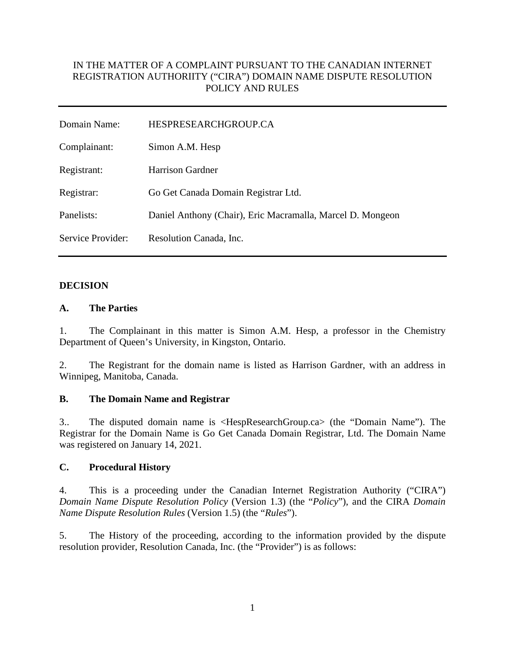## IN THE MATTER OF A COMPLAINT PURSUANT TO THE CANADIAN INTERNET REGISTRATION AUTHORIITY ("CIRA") DOMAIN NAME DISPUTE RESOLUTION POLICY AND RULES

| Domain Name:      | HESPRESEARCHGROUP.CA                                       |
|-------------------|------------------------------------------------------------|
| Complainant:      | Simon A.M. Hesp                                            |
| Registrant:       | <b>Harrison Gardner</b>                                    |
| Registrar:        | Go Get Canada Domain Registrar Ltd.                        |
| Panelists:        | Daniel Anthony (Chair), Eric Macramalla, Marcel D. Mongeon |
| Service Provider: | Resolution Canada, Inc.                                    |

#### **DECISION**

#### **A. The Parties**

1. The Complainant in this matter is Simon A.M. Hesp, a professor in the Chemistry Department of Queen's University, in Kingston, Ontario.

2. The Registrant for the domain name is listed as Harrison Gardner, with an address in Winnipeg, Manitoba, Canada.

#### **B. The Domain Name and Registrar**

3.. The disputed domain name is <HespResearchGroup.ca> (the "Domain Name"). The Registrar for the Domain Name is Go Get Canada Domain Registrar, Ltd. The Domain Name was registered on January 14, 2021.

### **C. Procedural History**

4. This is a proceeding under the Canadian Internet Registration Authority ("CIRA") *Domain Name Dispute Resolution Policy* (Version 1.3) (the "*Policy*"), and the CIRA *Domain Name Dispute Resolution Rules* (Version 1.5) (the "*Rules*").

5. The History of the proceeding, according to the information provided by the dispute resolution provider, Resolution Canada, Inc. (the "Provider") is as follows: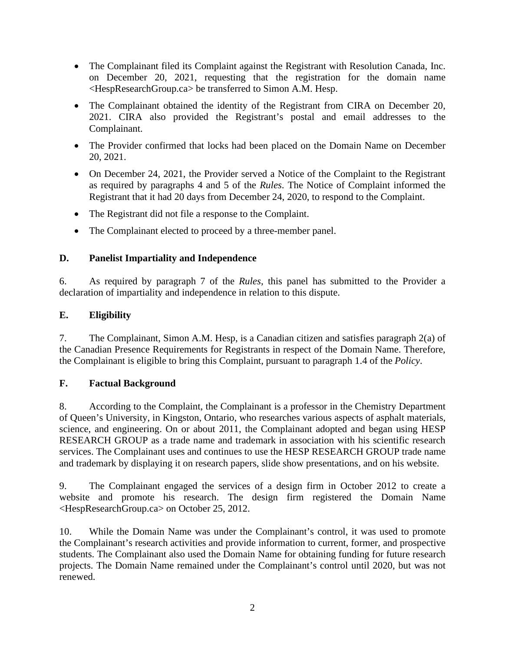- The Complainant filed its Complaint against the Registrant with Resolution Canada, Inc. on December 20, 2021, requesting that the registration for the domain name <HespResearchGroup.ca> be transferred to Simon A.M. Hesp.
- The Complainant obtained the identity of the Registrant from CIRA on December 20, 2021. CIRA also provided the Registrant's postal and email addresses to the Complainant.
- The Provider confirmed that locks had been placed on the Domain Name on December 20, 2021.
- On December 24, 2021, the Provider served a Notice of the Complaint to the Registrant as required by paragraphs 4 and 5 of the *Rules*. The Notice of Complaint informed the Registrant that it had 20 days from December 24, 2020, to respond to the Complaint.
- The Registrant did not file a response to the Complaint.
- The Complainant elected to proceed by a three-member panel.

# **D. Panelist Impartiality and Independence**

6. As required by paragraph 7 of the *Rules*, this panel has submitted to the Provider a declaration of impartiality and independence in relation to this dispute.

# **E. Eligibility**

7. The Complainant, Simon A.M. Hesp, is a Canadian citizen and satisfies paragraph 2(a) of the Canadian Presence Requirements for Registrants in respect of the Domain Name. Therefore, the Complainant is eligible to bring this Complaint, pursuant to paragraph 1.4 of the *Policy*.

# **F. Factual Background**

8. According to the Complaint, the Complainant is a professor in the Chemistry Department of Queen's University, in Kingston, Ontario, who researches various aspects of asphalt materials, science, and engineering. On or about 2011, the Complainant adopted and began using HESP RESEARCH GROUP as a trade name and trademark in association with his scientific research services. The Complainant uses and continues to use the HESP RESEARCH GROUP trade name and trademark by displaying it on research papers, slide show presentations, and on his website.

9. The Complainant engaged the services of a design firm in October 2012 to create a website and promote his research. The design firm registered the Domain Name <HespResearchGroup.ca> on October 25, 2012.

10. While the Domain Name was under the Complainant's control, it was used to promote the Complainant's research activities and provide information to current, former, and prospective students. The Complainant also used the Domain Name for obtaining funding for future research projects. The Domain Name remained under the Complainant's control until 2020, but was not renewed.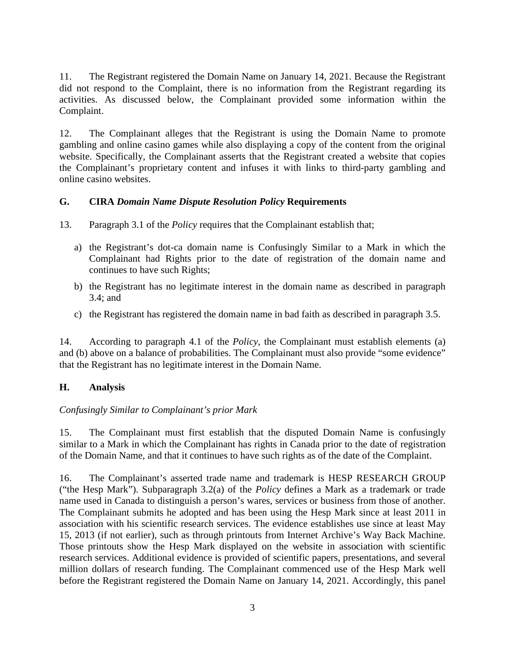11. The Registrant registered the Domain Name on January 14, 2021. Because the Registrant did not respond to the Complaint, there is no information from the Registrant regarding its activities. As discussed below, the Complainant provided some information within the Complaint.

12. The Complainant alleges that the Registrant is using the Domain Name to promote gambling and online casino games while also displaying a copy of the content from the original website. Specifically, the Complainant asserts that the Registrant created a website that copies the Complainant's proprietary content and infuses it with links to third-party gambling and online casino websites.

### **G. CIRA** *Domain Name Dispute Resolution Policy* **Requirements**

- 13. Paragraph 3.1 of the *Policy* requires that the Complainant establish that;
	- a) the Registrant's dot-ca domain name is Confusingly Similar to a Mark in which the Complainant had Rights prior to the date of registration of the domain name and continues to have such Rights;
	- b) the Registrant has no legitimate interest in the domain name as described in paragraph 3.4; and
	- c) the Registrant has registered the domain name in bad faith as described in paragraph 3.5.

14. According to paragraph 4.1 of the *Policy*, the Complainant must establish elements (a) and (b) above on a balance of probabilities. The Complainant must also provide "some evidence" that the Registrant has no legitimate interest in the Domain Name.

### **H. Analysis**

### *Confusingly Similar to Complainant's prior Mark*

15. The Complainant must first establish that the disputed Domain Name is confusingly similar to a Mark in which the Complainant has rights in Canada prior to the date of registration of the Domain Name, and that it continues to have such rights as of the date of the Complaint.

16. The Complainant's asserted trade name and trademark is HESP RESEARCH GROUP ("the Hesp Mark"). Subparagraph 3.2(a) of the *Policy* defines a Mark as a trademark or trade name used in Canada to distinguish a person's wares, services or business from those of another. The Complainant submits he adopted and has been using the Hesp Mark since at least 2011 in association with his scientific research services. The evidence establishes use since at least May 15, 2013 (if not earlier), such as through printouts from Internet Archive's Way Back Machine. Those printouts show the Hesp Mark displayed on the website in association with scientific research services. Additional evidence is provided of scientific papers, presentations, and several million dollars of research funding. The Complainant commenced use of the Hesp Mark well before the Registrant registered the Domain Name on January 14, 2021. Accordingly, this panel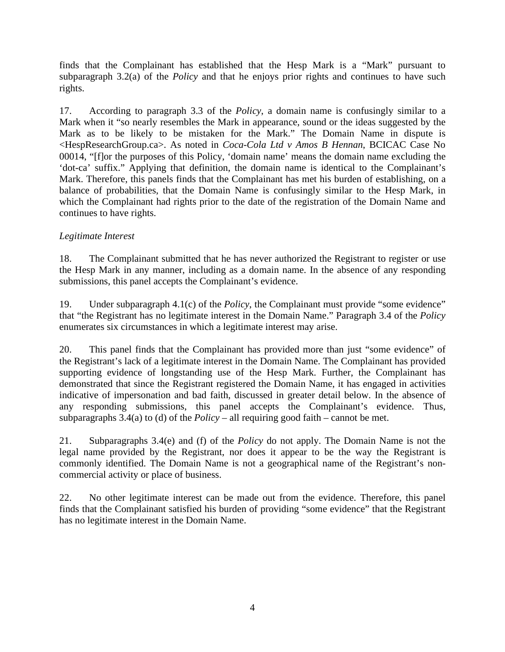finds that the Complainant has established that the Hesp Mark is a "Mark" pursuant to subparagraph 3.2(a) of the *Policy* and that he enjoys prior rights and continues to have such rights.

17. According to paragraph 3.3 of the *Policy*, a domain name is confusingly similar to a Mark when it "so nearly resembles the Mark in appearance, sound or the ideas suggested by the Mark as to be likely to be mistaken for the Mark." The Domain Name in dispute is <HespResearchGroup.ca>. As noted in *Coca-Cola Ltd v Amos B Hennan*, BCICAC Case No 00014, "[f]or the purposes of this Policy, 'domain name' means the domain name excluding the 'dot-ca' suffix." Applying that definition, the domain name is identical to the Complainant's Mark. Therefore, this panels finds that the Complainant has met his burden of establishing, on a balance of probabilities, that the Domain Name is confusingly similar to the Hesp Mark, in which the Complainant had rights prior to the date of the registration of the Domain Name and continues to have rights.

### *Legitimate Interest*

18. The Complainant submitted that he has never authorized the Registrant to register or use the Hesp Mark in any manner, including as a domain name. In the absence of any responding submissions, this panel accepts the Complainant's evidence.

19. Under subparagraph 4.1(c) of the *Policy*, the Complainant must provide "some evidence" that "the Registrant has no legitimate interest in the Domain Name." Paragraph 3.4 of the *Policy* enumerates six circumstances in which a legitimate interest may arise.

20. This panel finds that the Complainant has provided more than just "some evidence" of the Registrant's lack of a legitimate interest in the Domain Name. The Complainant has provided supporting evidence of longstanding use of the Hesp Mark. Further, the Complainant has demonstrated that since the Registrant registered the Domain Name, it has engaged in activities indicative of impersonation and bad faith, discussed in greater detail below. In the absence of any responding submissions, this panel accepts the Complainant's evidence. Thus, subparagraphs  $3.4(a)$  to (d) of the *Policy* – all requiring good faith – cannot be met.

21. Subparagraphs 3.4(e) and (f) of the *Policy* do not apply. The Domain Name is not the legal name provided by the Registrant, nor does it appear to be the way the Registrant is commonly identified. The Domain Name is not a geographical name of the Registrant's noncommercial activity or place of business.

22. No other legitimate interest can be made out from the evidence. Therefore, this panel finds that the Complainant satisfied his burden of providing "some evidence" that the Registrant has no legitimate interest in the Domain Name.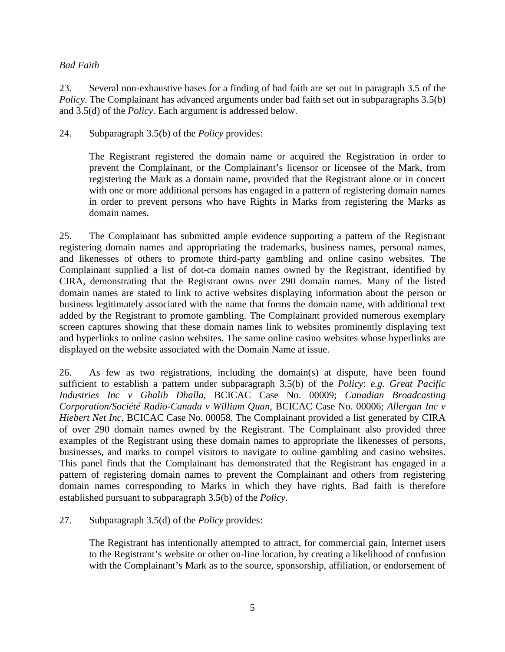#### *Bad Faith*

23. Several non-exhaustive bases for a finding of bad faith are set out in paragraph 3.5 of the *Policy*. The Complainant has advanced arguments under bad faith set out in subparagraphs 3.5(b) and 3.5(d) of the *Policy*. Each argument is addressed below.

24. Subparagraph 3.5(b) of the *Policy* provides:

The Registrant registered the domain name or acquired the Registration in order to prevent the Complainant, or the Complainant's licensor or licensee of the Mark, from registering the Mark as a domain name, provided that the Registrant alone or in concert with one or more additional persons has engaged in a pattern of registering domain names in order to prevent persons who have Rights in Marks from registering the Marks as domain names.

25. The Complainant has submitted ample evidence supporting a pattern of the Registrant registering domain names and appropriating the trademarks, business names, personal names, and likenesses of others to promote third-party gambling and online casino websites. The Complainant supplied a list of dot-ca domain names owned by the Registrant, identified by CIRA, demonstrating that the Registrant owns over 290 domain names. Many of the listed domain names are stated to link to active websites displaying information about the person or business legitimately associated with the name that forms the domain name, with additional text added by the Registrant to promote gambling. The Complainant provided numerous exemplary screen captures showing that these domain names link to websites prominently displaying text and hyperlinks to online casino websites. The same online casino websites whose hyperlinks are displayed on the website associated with the Domain Name at issue.

26. As few as two registrations, including the domain(s) at dispute, have been found sufficient to establish a pattern under subparagraph 3.5(b) of the *Policy*: *e.g. Great Pacific Industries Inc v Ghalib Dhalla*, BCICAC Case No. 00009; *Canadian Broadcasting Corporation/Société Radio-Canada v William Quan,* BCICAC Case No. 00006; *Allergan Inc v Hiebert Net Inc*, BCICAC Case No. 00058. The Complainant provided a list generated by CIRA of over 290 domain names owned by the Registrant. The Complainant also provided three examples of the Registrant using these domain names to appropriate the likenesses of persons, businesses, and marks to compel visitors to navigate to online gambling and casino websites. This panel finds that the Complainant has demonstrated that the Registrant has engaged in a pattern of registering domain names to prevent the Complainant and others from registering domain names corresponding to Marks in which they have rights. Bad faith is therefore established pursuant to subparagraph 3.5(b) of the *Policy*.

27. Subparagraph 3.5(d) of the *Policy* provides:

The Registrant has intentionally attempted to attract, for commercial gain, Internet users to the Registrant's website or other on-line location, by creating a likelihood of confusion with the Complainant's Mark as to the source, sponsorship, affiliation, or endorsement of